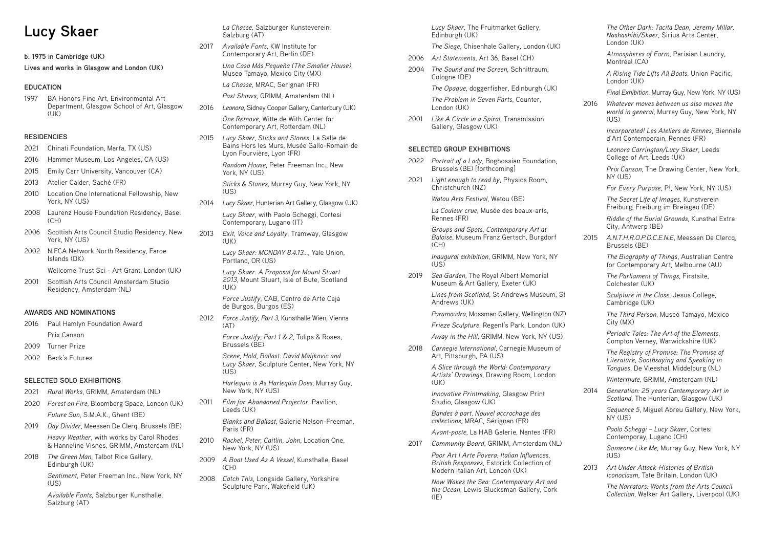# **Lucy Skaer**

**b. 1975 in Cambridge (UK)**

**Lives and works in Glasgow and London (UK)**

## **EDUCATION**

1997 BA Honors Fine Art, Environmental Art Department, Glasgow School of Art, Glasgow (UK)

### **RESIDENCIES**

- 2021 Chinati Foundation, Marfa, TX (US)
- 2016 Hammer Museum, Los Angeles, CA (US)
- 2015 Emily Carr University, Vancouver (CA)
- 2013 Atelier Calder, Saché (FR)
- 2010 Location One International Fellowship, New York, NY (US)
- 2008 Laurenz House Foundation Residency, Basel (CH)
- 2006 Scottish Arts Council Studio Residency, New York, NY (US)
- 2002 NIFCA Network North Residency, Faroe Islands (DK)

Wellcome Trust Sci - Art Grant, London (UK)

2001 Scottish Arts Council Amsterdam Studio Residency, Amsterdam (NL)

### **AWARDS AND NOMINATIONS**

- 2016 Paul Hamlyn Foundation Award Prix Canson
- 2009 Turner Prize
- 2002 Beck's Futures

### **SELECTED SOLO EXHIBITIONS**

- 2021 *Rural Works*, GRIMM, Amsterdam (NL)
- 2020 *Forest on Fire,* Bloomberg Space, London (UK) *Future Sun*, S.M.A.K., Ghent (BE)
- 2019 *Day Divider*, Meessen De Clerq, Brussels (BE) *Heavy Weather*, with works by Carol Rhodes & Hanneline Visnes, GRIMM, Amsterdam (NL)
- 2018 *The Green Man*, Talbot Rice Gallery, Edinburgh (UK)

*Lucy Skaer: A Proposal for Mount Stuart 2013*, Mount Stuart, Isle of Bute, Scotland  $(IIK)$ 

*Sentiment,* Peter Freeman Inc., New York, NY (US)

*Scene, Hold, Ballast: David Maljkovic and Lucy Skaer*, Sculpture Center, New York, NY  $(1)$ S)

*Available Fonts*, Salzburger Kunsthalle, Salzburg (AT)

*La Chasse*, Salzburger Kunsteverein, Salzburg (AT)

2017 *Available Fonts*, KW Institute for Contemporary Art, Berlin (DE)

> *Una Casa Más Pequeña (The Smaller House)*, Museo Tamayo, Mexico City (MX)

*La Chasse*, MRAC, Serignan (FR)

*Past Shows,* GRIMM, Amsterdam (NL)

2016 *Leonora*, Sidney Cooper Gallery, Canterbury (UK)

*One Remove*, Witte de With Center for Contemporary Art, Rotterdam (NL)

2015 *Lucy Skaer, Sticks and Stones*, La Salle de Bains Hors les Murs, Musée Gallo-Romain de Lyon Fourvière, Lyon (FR)

> *Groups and Spots, Contemporary Art at Baloise*, Museum Franz Gertsch, Burgdorf  $(CH)$

*Random House*, Peter Freeman Inc., New York, NY (US)

*Sticks & Stones*, Murray Guy, New York, NY (US)

- 2014 *Lucy Skaer*, Hunterian Art Gallery, Glasgow (UK) *Lucy Skaer*, with Paolo Scheggi, Cortesi Contemporary, Lugano (IT)
- 2013 *Exit, Voice and Loyalty*, Tramway, Glasgow (UK)

*Lucy Skaer: MONDAY 8.4.13...*, Yale Union, Portland, OR (US)

> *Now Wakes the Sea: Contemporary Art and the Ocean*, Lewis Glucksman Gallery, Cork  $(IE)$

*Force Justify*, CAB, Centro de Arte Caja de Burgos, Burgos (ES)

2012 *Force Justify, Part 3*, Kunsthalle Wien, Vienna (AT)

> *Force Justify, Part 1 & 2*, Tulips & Roses, Brussels (BE)

*Harlequin is As Harlequin Does*, Murray Guy, New York, NY (US)

2011 *Film for Abandoned Projector*, Pavilion, Leeds (UK)

> *Blanks and Ballast*, Galerie Nelson-Freeman, Paris (FR)

- 2010 *Rachel, Peter, Caitlin, John*, Location One, New York, NY (US)
- 2009 *A Boat Used As A Vessel*, Kunsthalle, Basel  $(CH)$
- 2008 *Catch This*, Longside Gallery, Yorkshire Sculpture Park, Wakefield (UK)

*Lucy Skaer*, The Fruitmarket Gallery, Edinburgh (UK)

*The Siege*, Chisenhale Gallery, London (UK)

*Someone Like Me*, Murray Guy, New York, NY  $(1)$ S)

- 2006 *Art Statements*, Art 36, Basel (CH)
- 2004 *The Sound and the Screen*, Schnittraum, Cologne (DE)

*The Opaque*, doggerfisher, Edinburgh (UK)

*The Problem in Seven Parts*, Counter, London (UK)

2001 *Like A Circle in a Spiral*, Transmission Gallery, Glasgow (UK)

### **SELECTED GROUP EXHIBITIONS**

- 2022 *Portrait of a Lady*, Boghossian Foundation, Brussels (BE) [forthcoming]
- 2021 *Light enough to read by*, Physics Room, Christchurch (NZ)

*Watou Arts Festival*, Watou (BE)

*La Couleur crue*, Musée des beaux-arts, Rennes (FR)

*Inaugural exhibition*, GRIMM, New York, NY (US)

2019 *Sea Garden*, The Royal Albert Memorial Museum & Art Gallery, Exeter (UK)

> *Lines from Scotland*, St Andrews Museum, St Andrews (UK)

> *Paramoudra*, Mossman Gallery, Wellington (NZ)

*Frieze Sculpture*, Regent's Park, London (UK)

*Away in the Hill*, GRIMM, New York, NY (US)

2018 *Carnegie International*, Carnegie Museum of Art, Pittsburgh, PA (US)

> *A Slice through the World: Contemporary Artists' Drawings*, Drawing Room, London (UK)

*Innovative Printmaking*, Glasgow Print Studio, Glasgow (UK)

*Bandes à part. Nouvel accrochage des collections*, MRAC, Sérignan (FR)

*Avant-poste*, La HAB Galerie, Nantes (FR)

2017 *Community Board*, GRIMM, Amsterdam (NL)

*Poor Art | Arte Povera: Italian Influences, British Responses*, Estorick Collection of Modern Italian Art, London (UK)

*The Other Dark: Tacita Dean, Jeremy Millar, Nashashibi/Skaer*, Sirius Arts Center, London (UK)

*Atmospheres of Form*, Parisian Laundry, Montréal (CA)

*A Rising Tide Lifts All Boats*, Union Pacific, London (UK)

*Final Exhibition*, Murray Guy, New York, NY (US)

2016 *Whatever moves between us also moves the world in general*, Murray Guy, New York, NY (US)

> *Incorporated! Les Ateliers de Rennes*, Biennale d'Art Contemporain, Rennes (FR)

*Leonora Carrington/Lucy Skaer*, Leeds College of Art, Leeds (UK)

*Prix Canson*, The Drawing Center, New York, NY (US)

*For Every Purpose*, P!, New York, NY (US)

*The Secret Life of Images*, Kunstverein Freiburg, Freiburg im Breisgau (DE)

*Riddle of the Burial Grounds*, Kunsthal Extra City, Antwerp (BE)

2015 *A.N.T.H.R.O.P.O.C.E.N.E*, Meessen De Clercq, Brussels (BE)

> *The Biography of Things*, Australian Centre for Contemporary Art, Melbourne (AU)

*The Parliament of Things*, Firstsite, Colchester (UK)

*Sculpture in the Close*, Jesus College, Cambridge (UK)

*The Third Person*, Museo Tamayo, Mexico City (MX)

*Periodic Tales: The Art of the Elements*, Compton Verney, Warwickshire (UK)

*The Registry of Promise: The Promise of Literature, Soothsaying and Speaking in Tongues*, De Vleeshal, Middelburg (NL)

*Wintermute*, GRIMM, Amsterdam (NL)

2014 *Generation: 25 years Contemporary Art in Scotland*, The Hunterian, Glasgow (UK)

> *Sequence 5*, Miguel Abreu Gallery, New York, NY (US)

*Paolo Scheggi – Lucy Skaer*, Cortesi Contemporay, Lugano (CH)

2013 *Art Under Attack-Histories of British Iconoclasm*, Tate Britain, London (UK)

> *The Narrators: Works from the Arts Council Collection*, Walker Art Gallery, Liverpool (UK)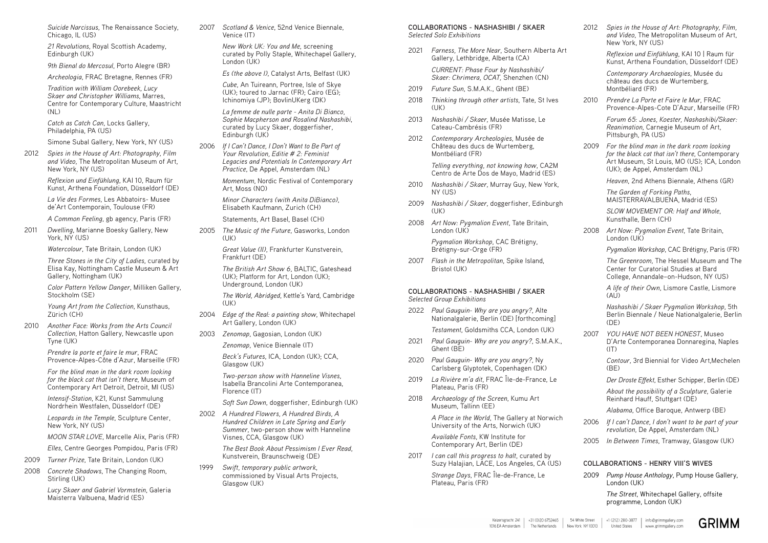*Suicide Narcissus*, The Renaissance Society, Chicago, IL (US)

*21 Revolutions*, Royal Scottish Academy, Edinburgh (UK)

*9th Bienal do Mercosul*, Porto Alegre (BR)

*Archeologia*, FRAC Bretagne, Rennes (FR)

*Tradition with William Oorebeek, Lucy Skaer and Christopher Williams*, Marres, Centre for Contemporary Culture, Maastricht (NL)

*Catch as Catch Can*, Locks Gallery, Philadelphia, PA (US)

Simone Subal Gallery, New York, NY (US)

2012 *Spies in the House of Art: Photography, Film and Video*, The Metropolitan Museum of Art, New York, NY (US)

> *Reflexion und Einfühlung*, KAI 10, Raum für Kunst, Arthena Foundation, Düsseldorf (DE)

*La Vie des Formes*, Les Abbatoirs- Musee de'Art Contemporain, Toulouse (FR)

*A Common Feeling*, gb agency, Paris (FR)

2011 *Dwelling*, Marianne Boesky Gallery, New York, NY (US)

*Watercolour*, Tate Britain, London (UK)

*Three Stones in the City of Ladies*, curated by Elisa Kay, Nottingham Castle Museum & Art Gallery, Nottingham (UK)

*New Work UK: You and Me*, screening curated by Polly Staple, Whitechapel Gallery, London (UK)

*Color Pattern Yellow Danger*, Milliken Gallery, Stockholm (SE)

*Young Art from the Collection*, Kunsthaus, Zürich (CH)

2010 *Another Face: Works from the Arts Council Collection*, Hatton Gallery, Newcastle upon Tyne (UK)

> *Prendre la porte et faire le mur*, FRAC Provence-Alpes-Côte d'Azur, Marseille (FR)

Elisabeth Kaufmann, Zurich (CH) Statements, Art Basel, Basel (CH)

2005 *The Music of the Future*, Gasworks, London  $(11K)$ 

*For the blind man in the dark room looking for the black cat that isn't there*, Museum of Contemporary Art Detroit, Detroit, MI (US)

*Intensif-Station*, K21, Kunst Sammulung Nordrhein Westfalen, Düsseldorf (DE)

*Leopards in the Temple*, Sculpture Center, New York, NY (US)

*MOON STAR LOVE*, Marcelle Alix, Paris (FR)

*Elles*, Centre Georges Pompidou, Paris (FR)

2009 *Turner Prize*, Tate Britain, London (UK)

2008 *Concrete Shadows*, The Changing Room, Stirling (UK)

> *Lucy Skaer and Gabriel Vormstein*, Galeria Maisterra Valbuena, Madrid (ES)

2007 *Scotland & Venice*, 52nd Venice Biennale, Venice (IT)

*Es (the above I)*, Catalyst Arts, Belfast (UK)

*Cube*, An Tuireann, Portree, Isle of Skye (UK); toured to Jarnac (FR); Cairo (EG); Ichinomiya (JP); BovlinUKerg (DK)

*La femme de nulle parte - Anita Di Bianco, Sophie Macpherson and Rosalind Nashashibi*, curated by Lucy Skaer, doggerfisher, Edinburgh (UK)

2006 *If I Can't Dance, I Don't Want to Be Part of Your Revolution, Editie # 2: Feminist Legacies and Potentials In Contemporary Art Practice*, De Appel, Amsterdam (NL)

> *Momentum*, Nordic Festival of Contemporary Art, Moss (NO)

*Minor Characters (with Anita DiBianco)*,

*Great Value (II)*, Frankfurter Kunstverein, Frankfurt (DE)

*The British Art Show 6*, BALTIC, Gateshead (UK); Platform for Art, London (UK); Underground, London (UK)

*The World, Abridged*, Kettle's Yard, Cambridge (UK)

2004 *Edge of the Real: a painting show*, Whitechapel Art Gallery, London (UK)

2003 *Zenomap*, Gagosian, London (UK)

*Zenomap*, Venice Biennale (IT)

*Beck's Futures*, ICA, London (UK); CCA, Glasgow (UK)

*A life of their Own*, Lismore Castle, Lismore  $(A|I)$ 

*Nashashibi / Skaer Pygmalion Workshop*, 5th Berlin Biennale / Neue Nationalgalerie, Berlin  $(DF)$ 

*Two-person show with Hanneline Visnes*, Isabella Brancolini Arte Contemporanea, Florence (IT)

2007 *YOU HAVE NOT BEEN HONEST*, Museo D'Arte Contemporanea Donnaregina, Naples  $(IT)$ 

*Soft Sun Down*, doggerfisher, Edinburgh (UK)

*Contour*, 3rd Biennial for Video Art,Mechelen  $(RF)$ 

2002 *A Hundred Flowers, A Hundred Birds, A Hundred Children in Late Spring and Early Summer*, two-person show with Hanneline Visnes, CCA, Glasgow (UK)

> *The Best Book About Pessimism I Ever Read*, Kunstverein, Braunschweig (DE)

1999 *Swift, temporary public artwork*, commissioned by Visual Arts Projects, Glasgow (UK)

**COLLABORATIONS - NASHASHIBI / SKAER** *Selected Solo Exhibitions* 

2021 *Farness, The More Near*, Southern Alberta Art Gallery, Lethbridge, Alberta (CA)

*CURRENT: Phase Four by Nashashibi/ Skaer: Chrimera, OCAT,* Shenzhen (CN)

- 2019 *Future Sun*, S.M.A.K., Ghent (BE)
- 2018 *Thinking through other artists*, Tate, St Ives (UK)
- 2013 *Nashashibi / Skaer*, Musée Matisse, Le Cateau-Cambrésis (FR)
- 2012 *Contemporary Archeologies*, Musée de Château des ducs de Wurtemberg, Montbéliard (FR)

*Telling everything, not knowing how*, CA2M Centro de Arte Dos de Mayo, Madrid (ES)

- 2010 *Nashashibi / Skaer*, Murray Guy, New York, NY (US)
- 2009 *Nashashibi / Skaer*, doggerfisher, Edinburgh (UK)
- 2008 *Art Now: Pygmalion Event*, Tate Britain, London (UK)

*Pygmalion Workshop*, CAC Brétigny, Brétigny-sur-Orge (FR)

2007 *Flash in the Metropolitan*, Spike Island, Bristol (UK)

### **COLLABORATIONS - NASHASHIBI / SKAER** *Selected Group Exhibitions*

2022 *Paul Gauguin- Why are you angry?*, Alte Nationalgalerie, Berlin (DE) [forthcoming]

*Testament*, Goldsmiths CCA, London (UK)

- 2021 *Paul Gauguin- Why are you angry?*, S.M.A.K., Ghent (BE)
- 2020 *Paul Gauguin- Why are you angry?*, Ny Carlsberg Glyptotek, Copenhagen (DK)
- 2019 *La Rivière m'a dit*, FRAC Île-de-France, Le Plateau, Paris (FR)
- 2018 *Archaeology of the Screen*, Kumu Art Museum, Tallinn (EE)

*A Place in the World*, The Gallery at Norwich University of the Arts, Norwich (UK)

*Available Fonts*, KW Institute for Contemporary Art, Berlin (DE)

2017 *I can call this progress to halt*, curated by Suzy Halajian, LACE, Los Angeles, CA (US)

> *Strange Days*, FRAC Île-de-France, Le Plateau, Paris (FR)

2012 *Spies in the House of Art: Photography, Film, and Video*, The Metropolitan Museum of Art, New York, NY (US)

> *Reflexion und Einfühlung*, KAI 10 | Raum für Kunst, Arthena Foundation, Düsseldorf (DE)

*Contemporary Archaeologies*, Musée du château des ducs de Wurtemberg, Montbéliard (FR)

2010 *Prendre La Porte et Faire le Mur*, FRAC Provence-Alpes-Cote D'Azur, Marseille (FR)

*Forum 65: Jones, Koester, Nashashibi/Skaer: Reanimation*, Carnegie Museum of Art, Pittsburgh, PA (US)

2009 *For the blind man in the dark room looking for the black cat that isn't there*, Contemporary Art Museum, St Louis, MO (US); ICA, London (UK); de Appel, Amsterdam (NL)

*Heaven*, 2nd Athens Biennale, Athens (GR)

*The Garden of Forking Paths*, MAISTERRAVALBUENA, Madrid (ES) *SLOW MOVEMENT OR: Half and Whole*,

Kunsthalle, Bern (CH)

2008 *Art Now: Pygmalion Event*, Tate Britain, London (UK)

*Pygmalion Workshop*, CAC Brétigny, Paris (FR)

*The Greenroom*, The Hessel Museum and The Center for Curatorial Studies at Bard College, Annandale–on-Hudson, NY (US)

*Der Droste Effekt*, Esther Schipper, Berlin (DE)

*About the possibility of a Sculpture*, Galerie Reinhard Hauff, Stuttgart (DE)

*Alabama*, Office Baroque, Antwerp (BE)

- 2006 *If I can't Dance, I don't want to be part of your revolution*, De Appel, Amsterdam (NL)
- 2005 *In Between Times*, Tramway, Glasgow (UK)

### **COLLABORATIONS - HENRY VIII'S WIVES**

2009 *Pump House Anthology*, Pump House Gallery, London (UK)

> *The Street*, Whitechapel Gallery, offsite programme, London (UK)